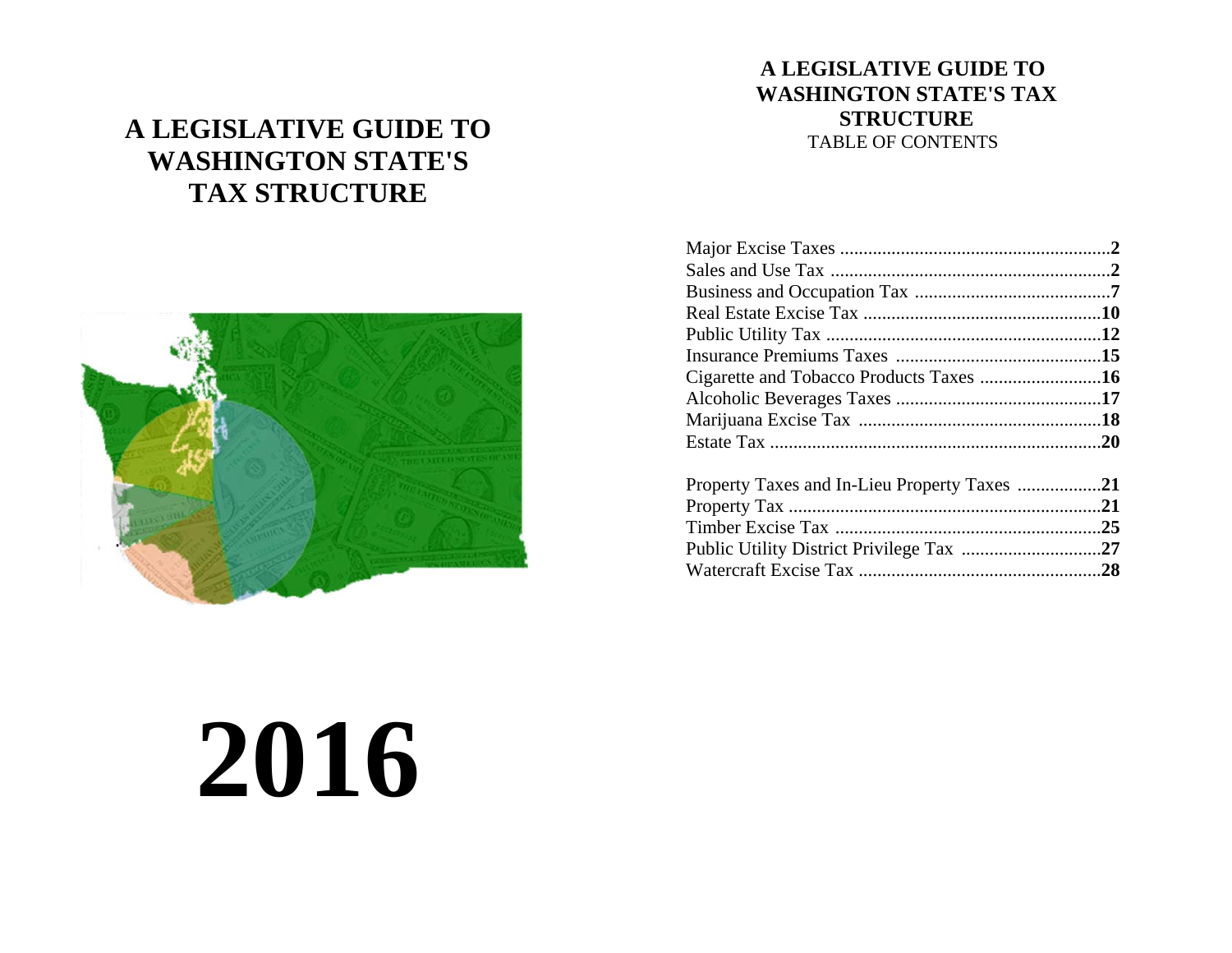# **A LEGISLATIVE GUIDE TO WASHINGTON STATE'S TAX STRUCTURE**



# **A LEGISLATIVE GUIDE TO WASHINGTON STATE'S TAX STRUCTURE**  TABLE OF CONTENTS

# **2016**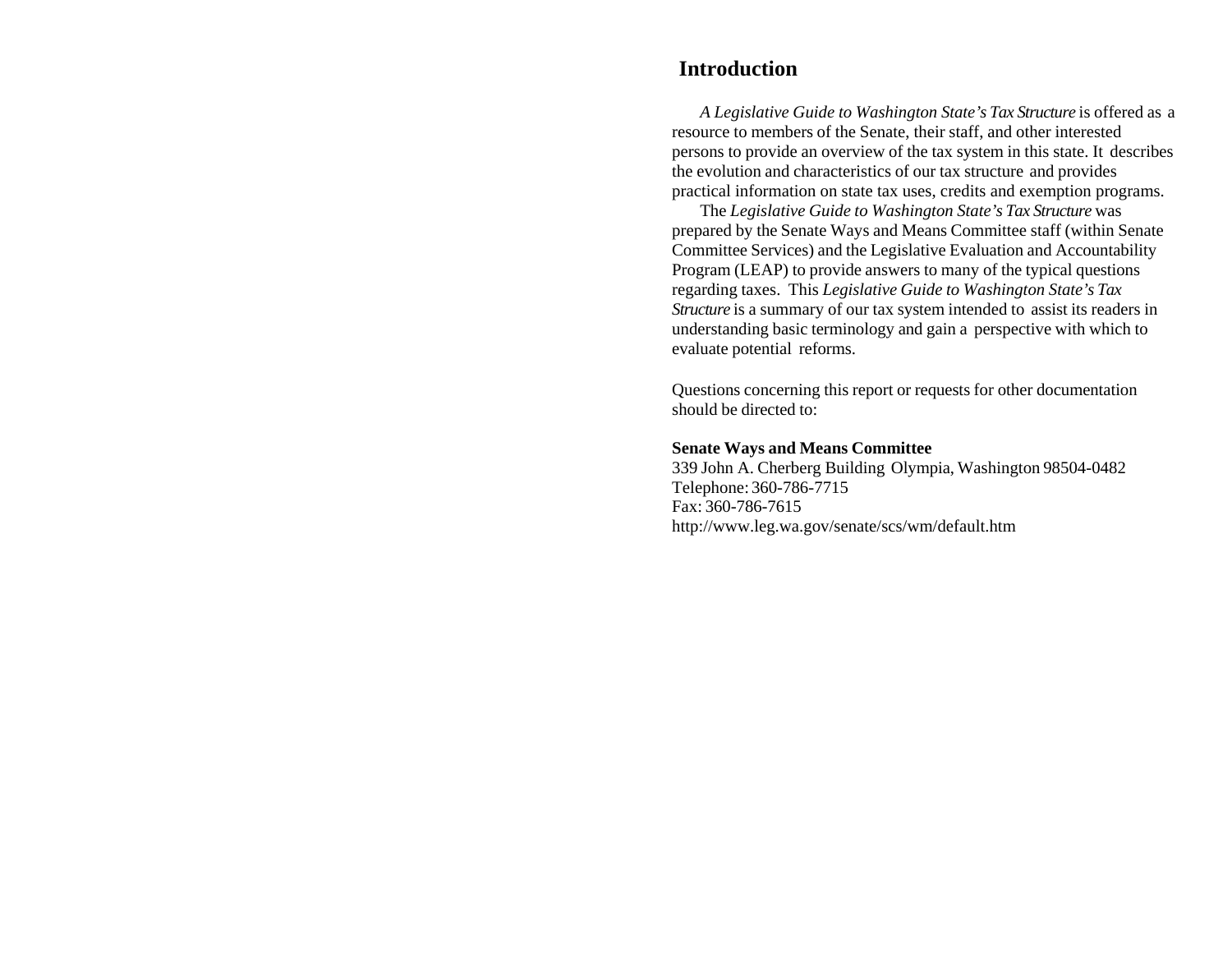# **Introduction**

*A Legislative Guide to Washington State's Tax Structure* is offered as a resource to members of the Senate, their staff, and other interested persons to provide an overview of the tax system in this state. It describes the evolution and characteristics of our tax structure and provides practical information on state tax uses, credits and exemption programs.

The *Legislative Guide to Washington State's Tax Structure* was prepared by the Senate Ways and Means Committee staff (within Senate Committee Services) and the Legislative Evaluation and Accountability Program (LEAP) to provide answers to many of the typical questions regarding taxes. This *Legislative Guide to Washington State's Tax Structure* is a summary of our tax system intended to assist its readers in understanding basic terminology and gain a perspective with which to evaluate potential reforms.

Questions concerning this report or requests for other documentation should be directed to:

#### **Senate Ways and Means Committee**

339 John A. Cherberg Building Olympia, Washington 98504-0482 Telephone: 360-786-7715 Fax: 360-786-7615 http://www.leg.wa.gov/senate/scs/wm/default.htm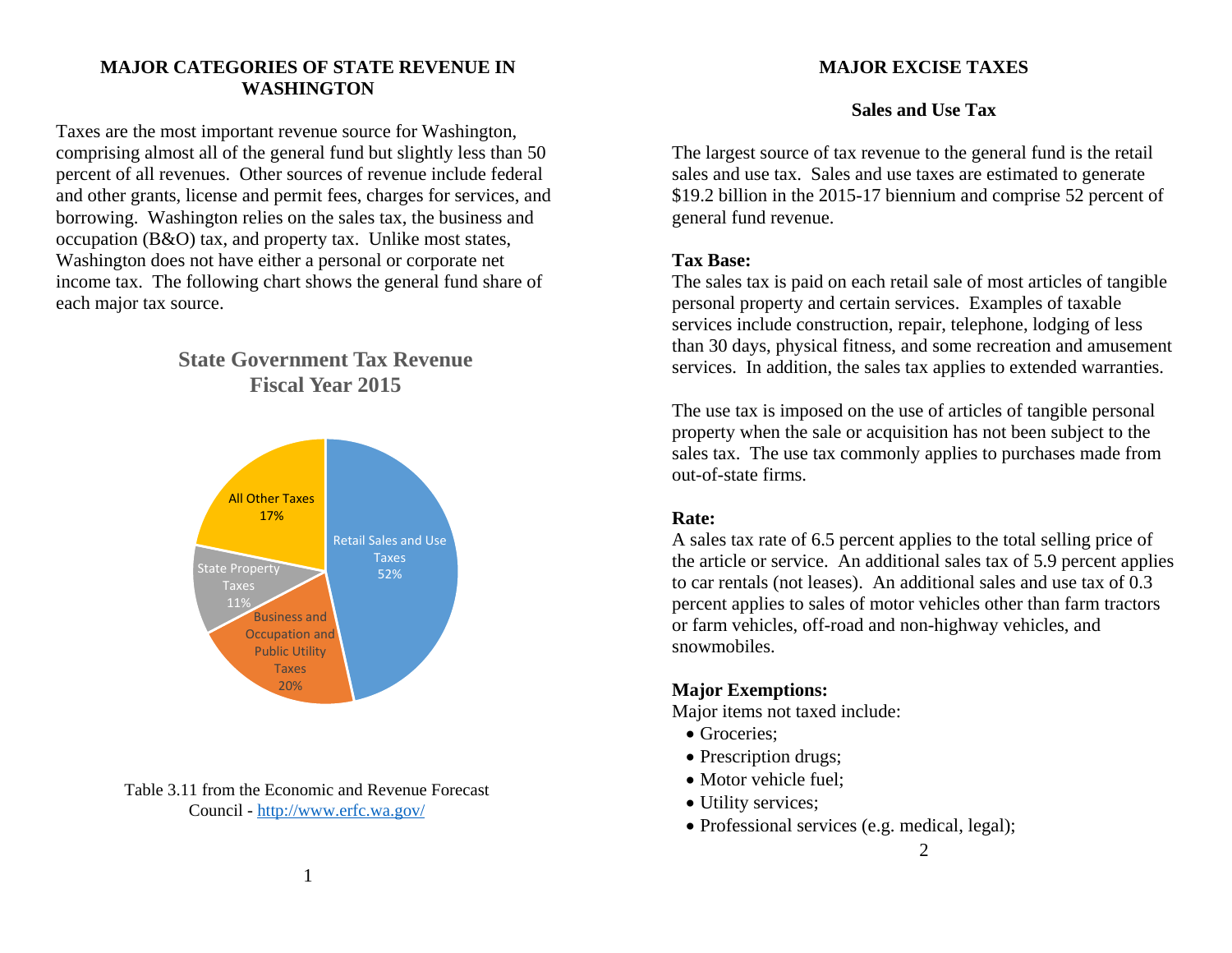#### **MAJOR CATEGORIES OF STATE REVENUE IN WASHINGTON**

Taxes are the most important revenue source for Washington, comprising almost all of the general fund but slightly less than 50 percent of all revenues. Other sources of revenue include federal and other grants, license and permit fees, charges for services, and borrowing. Washington relies on the sales tax, the business and occupation (B&O) tax, and property tax. Unlike most states, Washington does not have either a personal or corporate net income tax. The following chart shows the general fund share of each major tax source.

# **State Government Tax RevenueFiscal Year 2015**



Table 3.11 from the Economic and Revenue Forecast Council - http://www.erfc.wa.gov/

#### **MAJOR EXCISE TAXES**

#### **Sales and Use Tax**

The largest source of tax revenue to the general fund is the retail sales and use tax. Sales and use taxes are estimated to generate \$19.2 billion in the 2015-17 biennium and comprise 52 percent of general fund revenue.

#### **Tax Base:**

The sales tax is paid on each retail sale of most articles of tangible personal property and certain services. Examples of taxable services include construction, repair, telephone, lodging of less than 30 days, physical fitness, and some recreation and amusement services. In addition, the sales tax applies to extended warranties.

The use tax is imposed on the use of articles of tangible personal property when the sale or acquisition has not been subject to the sales tax. The use tax commonly applies to purchases made from out-of-state firms.

#### **Rate:**

A sales tax rate of 6.5 percent applies to the total selling price of the article or service. An additional sales tax of 5.9 percent applies to car rentals (not leases). An additional sales and use tax of 0.3 percent applies to sales of motor vehicles other than farm tractors or farm vehicles, off-road and non-highway vehicles, and snowmobiles.

# **Major Exemptions:**

Major items not taxed include:

- Groceries;
- Prescription drugs;
- Motor vehicle fuel;
- Utility services;
- Professional services (e.g. medical, legal);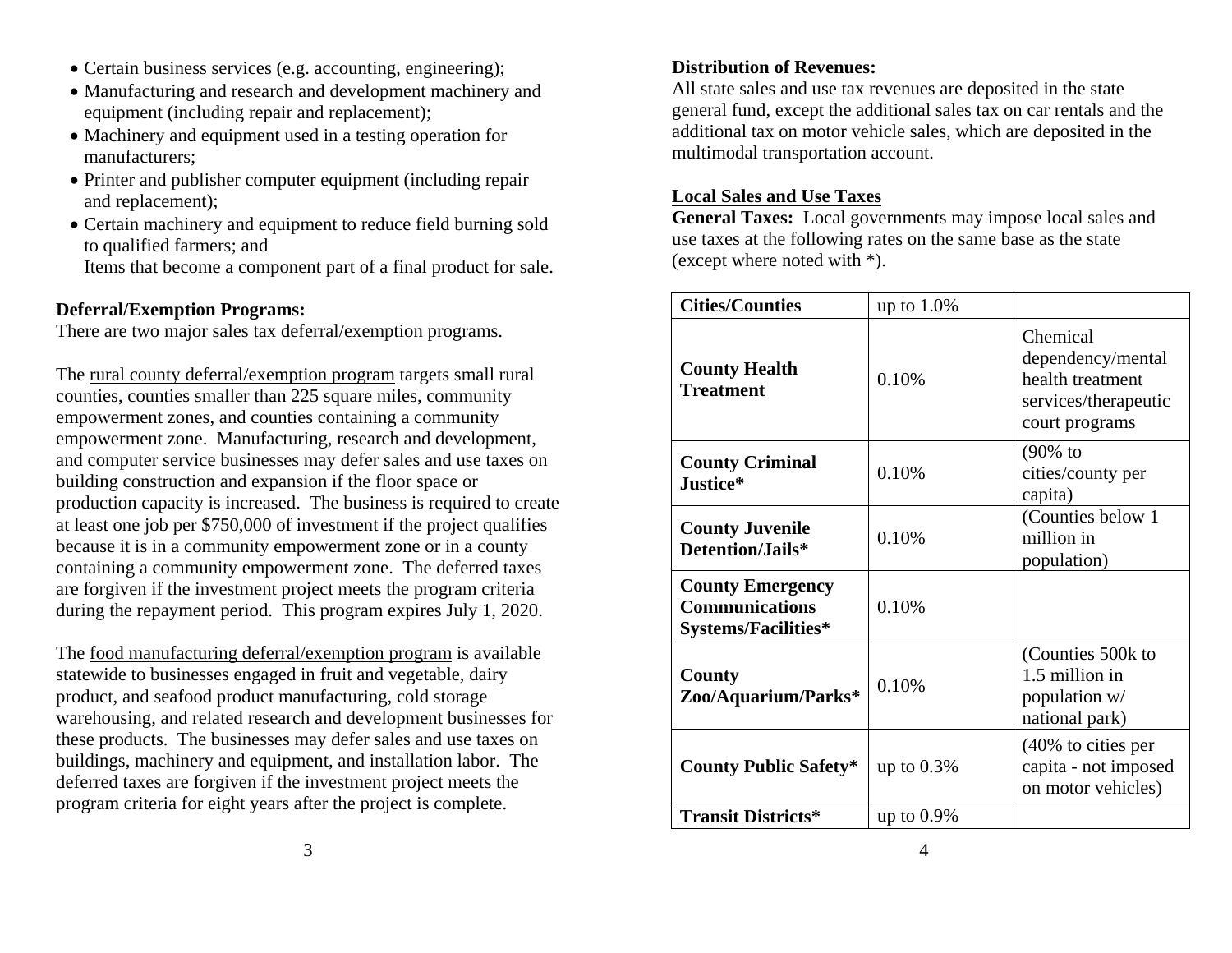- Certain business services (e.g. accounting, engineering);
- Manufacturing and research and development machinery and equipment (including repair and replacement);
- Machinery and equipment used in a testing operation for manufacturers;
- Printer and publisher computer equipment (including repair and replacement);
- Certain machinery and equipment to reduce field burning sold to qualified farmers; and
	- Items that become a component part of a final product for sale.

# **Deferral/Exemption Programs:**

There are two major sales tax deferral/exemption programs.

The rural county deferral/exemption program targets small rural counties, counties smaller than 225 square miles, community empowerment zones, and counties containing a community empowerment zone. Manufacturing, research and development, and computer service businesses may defer sales and use taxes on building construction and expansion if the floor space or production capacity is increased. The business is required to create at least one job per \$750,000 of investment if the project qualifies because it is in a community empowerment zone or in a county containing a community empowerment zone. The deferred taxes are forgiven if the investment project meets the program criteria during the repayment period. This program expires July 1, 2020.

The food manufacturing deferral/exemption program is available statewide to businesses engaged in fruit and vegetable, dairy product, and seafood product manufacturing, cold storage warehousing, and related research and development businesses for these products. The businesses may defer sales and use taxes on buildings, machinery and equipment, and installation labor. The deferred taxes are forgiven if the investment project meets the program criteria for eight years after the project is complete.

# **Distribution of Revenues:**

All state sales and use tax revenues are deposited in the state general fund, except the additional sales tax on car rentals and the additional tax on motor vehicle sales, which are deposited in the multimodal transportation account.

# **Local Sales and Use Taxes**

**General Taxes:** Local governments may impose local sales and use taxes at the following rates on the same base as the state (except where noted with \*).

| <b>Cities/Counties</b>                                                         | up to $1.0\%$ |                                                                                             |
|--------------------------------------------------------------------------------|---------------|---------------------------------------------------------------------------------------------|
| <b>County Health</b><br><b>Treatment</b>                                       | 0.10%         | Chemical<br>dependency/mental<br>health treatment<br>services/therapeutic<br>court programs |
| <b>County Criminal</b><br>Justice*                                             | 0.10%         | (90% to<br>cities/county per<br>capita)                                                     |
| <b>County Juvenile</b><br>Detention/Jails*                                     | 0.10%         | (Counties below 1<br>million in<br>population)                                              |
| <b>County Emergency</b><br><b>Communications</b><br><b>Systems/Facilities*</b> | 0.10%         |                                                                                             |
| County<br>Zoo/Aquarium/Parks*                                                  | 0.10%         | (Counties 500k to<br>1.5 million in<br>population w/<br>national park)                      |
| <b>County Public Safety*</b>                                                   | up to $0.3\%$ | (40% to cities per<br>capita - not imposed<br>on motor vehicles)                            |
| <b>Transit Districts*</b>                                                      | up to $0.9\%$ |                                                                                             |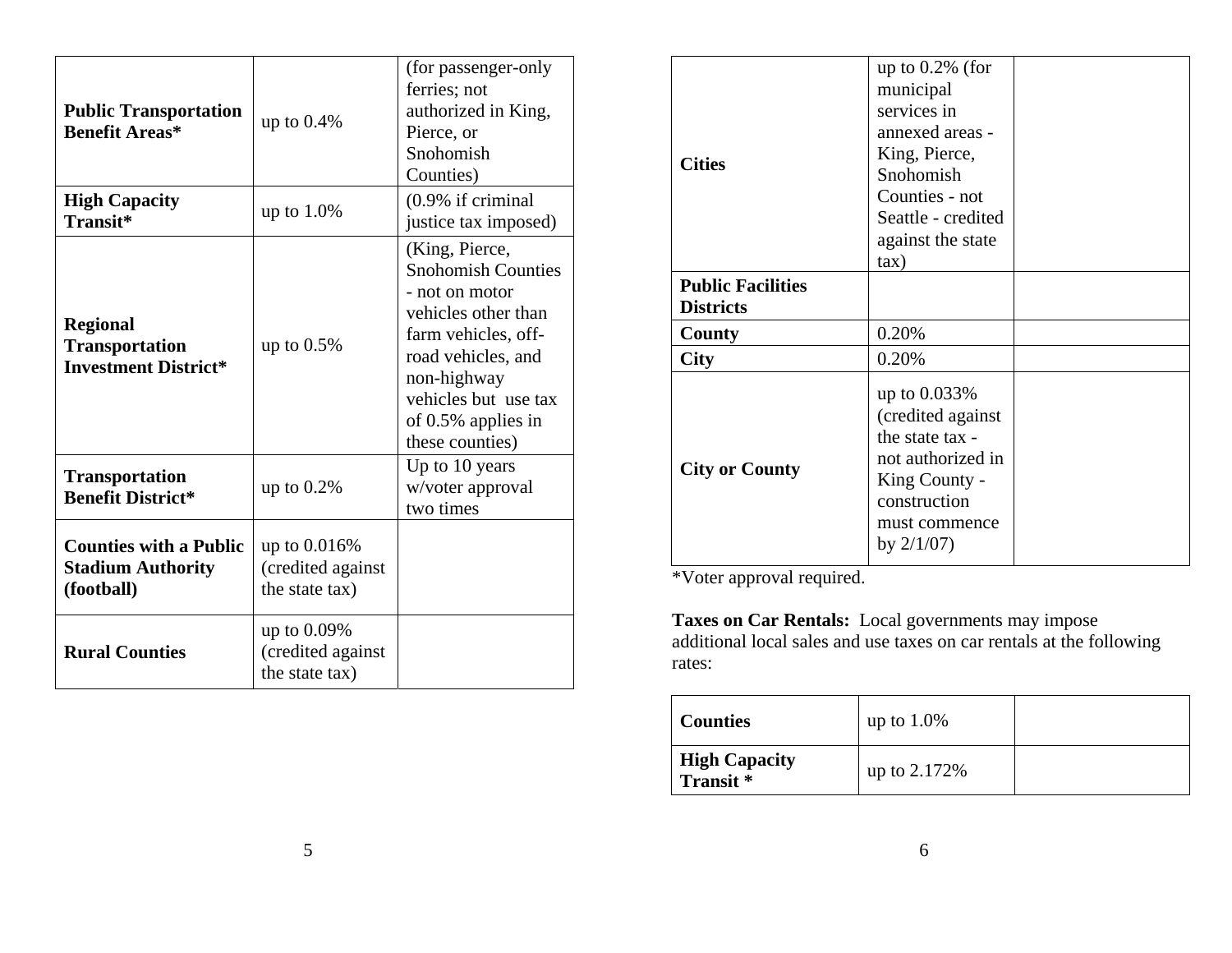| <b>Public Transportation</b><br><b>Benefit Areas*</b>                   | up to $0.4\%$                                          | (for passenger-only)<br>ferries; not<br>authorized in King,<br>Pierce, or<br>Snohomish<br>Counties)                                                                                                               |
|-------------------------------------------------------------------------|--------------------------------------------------------|-------------------------------------------------------------------------------------------------------------------------------------------------------------------------------------------------------------------|
| <b>High Capacity</b><br>Transit*                                        | up to $1.0\%$                                          | $(0.9\%$ if criminal<br>justice tax imposed)                                                                                                                                                                      |
| <b>Regional</b><br><b>Transportation</b><br><b>Investment District*</b> | up to $0.5\%$                                          | (King, Pierce,<br><b>Snohomish Counties</b><br>- not on motor<br>vehicles other than<br>farm vehicles, off-<br>road vehicles, and<br>non-highway<br>vehicles but use tax<br>of 0.5% applies in<br>these counties) |
| <b>Transportation</b><br><b>Benefit District*</b>                       | up to $0.2\%$                                          | Up to 10 years<br>w/voter approval<br>two times                                                                                                                                                                   |
| <b>Counties with a Public</b><br><b>Stadium Authority</b><br>(football) | up to $0.016\%$<br>(credited against<br>the state tax) |                                                                                                                                                                                                                   |
| <b>Rural Counties</b>                                                   | up to $0.09\%$<br>(credited against<br>the state tax)  |                                                                                                                                                                                                                   |

|                          | up to $0.2\%$ (for |  |
|--------------------------|--------------------|--|
|                          | municipal          |  |
|                          | services in        |  |
|                          | annexed areas -    |  |
|                          |                    |  |
| <b>Cities</b>            | King, Pierce,      |  |
|                          | Snohomish          |  |
|                          | Counties - not     |  |
|                          | Seattle - credited |  |
|                          | against the state  |  |
|                          | $\tan$ )           |  |
| <b>Public Facilities</b> |                    |  |
| <b>Districts</b>         |                    |  |
| County                   | 0.20%              |  |
| <b>City</b>              | 0.20%              |  |
|                          | up to 0.033%       |  |
|                          | (credited against  |  |
| <b>City or County</b>    | the state tax -    |  |
|                          |                    |  |
|                          | not authorized in  |  |
|                          | King County -      |  |
|                          | construction       |  |
|                          | must commence      |  |
|                          | by $2/1/07$ )      |  |
|                          |                    |  |

\*Voter approval required.

**Taxes on Car Rentals:** Local governments may impose additional local sales and use taxes on car rentals at the following rates:

| <b>Counties</b>                              | up to $1.0\%$  |  |
|----------------------------------------------|----------------|--|
| <b>High Capacity</b><br>Transit <sup>*</sup> | up to $2.172%$ |  |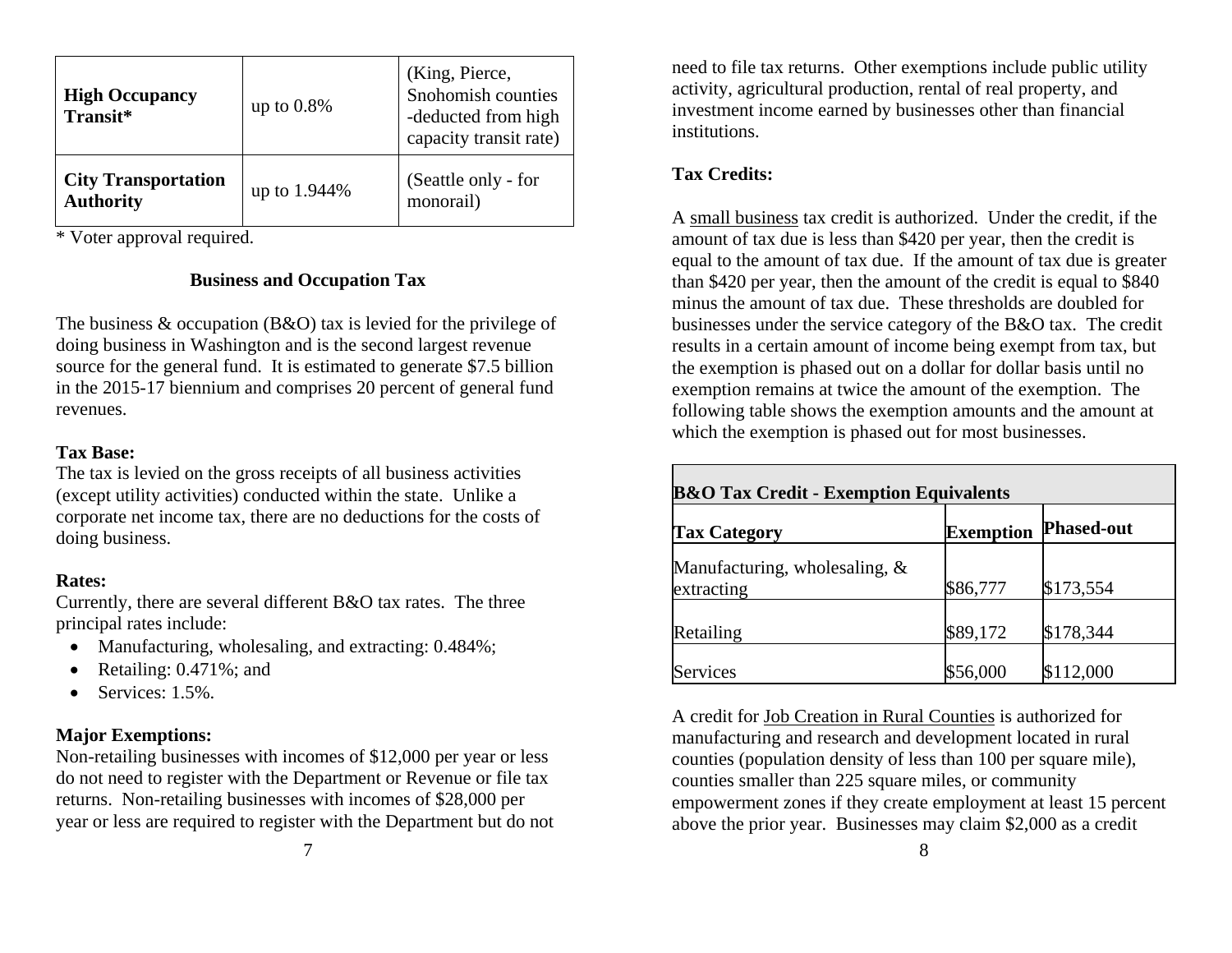| <b>High Occupancy</b><br>Transit*              | up to $0.8\%$ | (King, Pierce,<br>Snohomish counties<br>-deducted from high<br>capacity transit rate) |
|------------------------------------------------|---------------|---------------------------------------------------------------------------------------|
| <b>City Transportation</b><br><b>Authority</b> | up to 1.944%  | (Seattle only - for<br>monorail)                                                      |

\* Voter approval required.

# **Business and Occupation Tax**

The business & occupation (B&O) tax is levied for the privilege of doing business in Washington and is the second largest revenue source for the general fund. It is estimated to generate \$7.5 billion in the 2015-17 biennium and comprises 20 percent of general fund revenues.

# **Tax Base:**

The tax is levied on the gross receipts of all business activities (except utility activities) conducted within the state. Unlike a corporate net income tax, there are no deductions for the costs of doing business.

# **Rates:**

Currently, there are several different B&O tax rates. The three principal rates include:

- Manufacturing, wholesaling, and extracting: 0.484%;
- $\bullet$ Retailing: 0.471%; and
- $\bullet$ Services: 1.5%.

# **Major Exemptions:**

Non-retailing businesses with incomes of \$12,000 per year or less do not need to register with the Department or Revenue or file tax returns. Non-retailing businesses with incomes of \$28,000 per year or less are required to register with the Department but do not

need to file tax returns. Other exemptions include public utility activity, agricultural production, rental of real property, and investment income earned by businesses other than financial institutions.

# **Tax Credits:**

A small business tax credit is authorized. Under the credit, if the amount of tax due is less than \$420 per year, then the credit is equal to the amount of tax due. If the amount of tax due is greater than \$420 per year, then the amount of the credit is equal to \$840 minus the amount of tax due. These thresholds are doubled for businesses under the service category of the B&O tax. The credit results in a certain amount of income being exempt from tax, but the exemption is phased out on a dollar for dollar basis until no exemption remains at twice the amount of the exemption. The following table shows the exemption amounts and the amount at which the exemption is phased out for most businesses.

| <b>B&amp;O Tax Credit - Exemption Equivalents</b> |                  |                   |
|---------------------------------------------------|------------------|-------------------|
| <b>Tax Category</b>                               | <b>Exemption</b> | <b>Phased-out</b> |
| Manufacturing, wholesaling, &<br>extracting       | \$86,777         | \$173,554         |
| Retailing                                         | \$89,172         | \$178,344         |
| <b>Services</b>                                   | \$56,000         | \$112,000         |

A credit for Job Creation in Rural Counties is authorized for manufacturing and research and development located in rural counties (population density of less than 100 per square mile), counties smaller than 225 square miles, or community empowerment zones if they create employment at least 15 percent above the prior year. Businesses may claim \$2,000 as a credit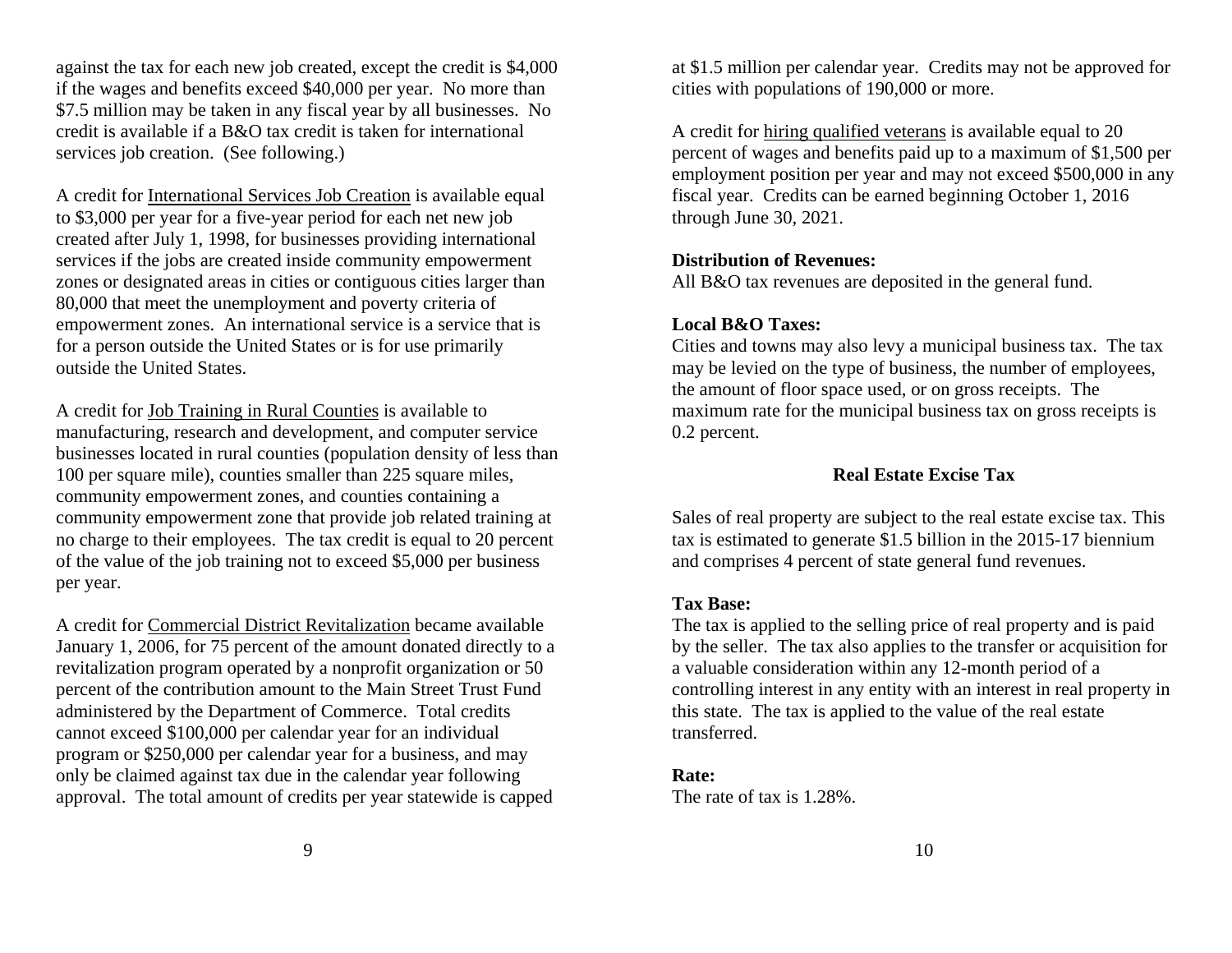against the tax for each new job created, except the credit is \$4,000 if the wages and benefits exceed \$40,000 per year. No more than \$7.5 million may be taken in any fiscal year by all businesses. No credit is available if a B&O tax credit is taken for international services job creation. (See following.)

A credit for International Services Job Creation is available equal to \$3,000 per year for a five-year period for each net new job created after July 1, 1998, for businesses providing international services if the jobs are created inside community empowerment zones or designated areas in cities or contiguous cities larger than 80,000 that meet the unemployment and poverty criteria of empowerment zones. An international service is a service that is for a person outside the United States or is for use primarily outside the United States.

A credit for Job Training in Rural Counties is available to manufacturing, research and development, and computer service businesses located in rural counties (population density of less than 100 per square mile), counties smaller than 225 square miles, community empowerment zones, and counties containing a community empowerment zone that provide job related training at no charge to their employees. The tax credit is equal to 20 percent of the value of the job training not to exceed \$5,000 per business per year.

A credit for Commercial District Revitalization became available January 1, 2006, for 75 percent of the amount donated directly to a revitalization program operated by a nonprofit organization or 50 percent of the contribution amount to the Main Street Trust Fund administered by the Department of Commerce. Total credits cannot exceed \$100,000 per calendar year for an individual program or \$250,000 per calendar year for a business, and may only be claimed against tax due in the calendar year following approval. The total amount of credits per year statewide is capped

at \$1.5 million per calendar year. Credits may not be approved for cities with populations of 190,000 or more.

A credit for hiring qualified veterans is available equal to 20 percent of wages and benefits paid up to a maximum of \$1,500 per employment position per year and may not exceed \$500,000 in any fiscal year. Credits can be earned beginning October 1, 2016 through June 30, 2021.

#### **Distribution of Revenues:**

All B&O tax revenues are deposited in the general fund.

# **Local B&O Taxes:**

Cities and towns may also levy a municipal business tax. The tax may be levied on the type of business, the number of employees, the amount of floor space used, or on gross receipts. The maximum rate for the municipal business tax on gross receipts is 0.2 percent.

# **Real Estate Excise Tax**

Sales of real property are subject to the real estate excise tax. This tax is estimated to generate \$1.5 billion in the 2015-17 biennium and comprises 4 percent of state general fund revenues.

# **Tax Base:**

The tax is applied to the selling price of real property and is paid by the seller. The tax also applies to the transfer or acquisition for a valuable consideration within any 12-month period of a controlling interest in any entity with an interest in real property in this state. The tax is applied to the value of the real estate transferred.

# **Rate:**

The rate of tax is 1.28%.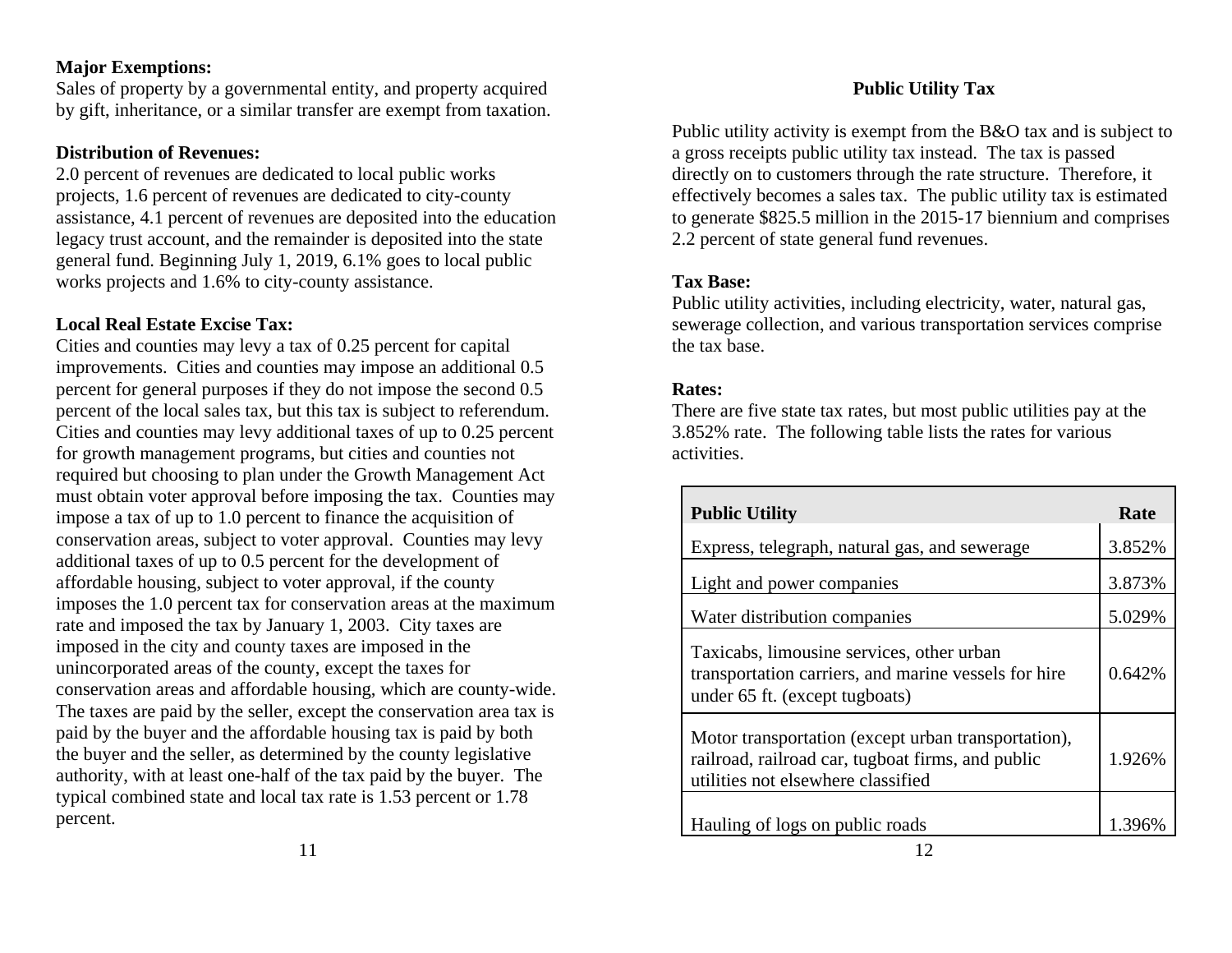#### **Major Exemptions:**

Sales of property by a governmental entity, and property acquired by gift, inheritance, or a similar transfer are exempt from taxation.

#### **Distribution of Revenues:**

2.0 percent of revenues are dedicated to local public works projects, 1.6 percent of revenues are dedicated to city-county assistance, 4.1 percent of revenues are deposited into the education legacy trust account, and the remainder is deposited into the state general fund. Beginning July 1, 2019, 6.1% goes to local public works projects and 1.6% to city-county assistance.

#### **Local Real Estate Excise Tax:**

Cities and counties may levy a tax of 0.25 percent for capital improvements. Cities and counties may impose an additional 0.5 percent for general purposes if they do not impose the second 0.5 percent of the local sales tax, but this tax is subject to referendum. Cities and counties may levy additional taxes of up to 0.25 percent for growth management programs, but cities and counties not required but choosing to plan under the Growth Management Act must obtain voter approval before imposing the tax. Counties may impose a tax of up to 1.0 percent to finance the acquisition of conservation areas, subject to voter approval. Counties may levy additional taxes of up to 0.5 percent for the development of affordable housing, subject to voter approval, if the county imposes the 1.0 percent tax for conservation areas at the maximum rate and imposed the tax by January 1, 2003. City taxes are imposed in the city and county taxes are imposed in the unincorporated areas of the county, except the taxes for conservation areas and affordable housing, which are county-wide. The taxes are paid by the seller, except the conservation area tax is paid by the buyer and the affordable housing tax is paid by both the buyer and the seller, as determined by the county legislative authority, with at least one-half of the tax paid by the buyer. The typical combined state and local tax rate is 1.53 percent or 1.78 percent.

Public utility activity is exempt from the B&O tax and is subject to a gross receipts public utility tax instead. The tax is passed directly on to customers through the rate structure. Therefore, it effectively becomes a sales tax. The public utility tax is estimated to generate \$825.5 million in the 2015-17 biennium and comprises 2.2 percent of state general fund revenues.

#### **Tax Base:**

Public utility activities, including electricity, water, natural gas, sewerage collection, and various transportation services comprise the tax base.

#### **Rates:**

There are five state tax rates, but most public utilities pay at the 3.852% rate. The following table lists the rates for various activities.

| <b>Public Utility</b>                                                                                                                          | Rate   |
|------------------------------------------------------------------------------------------------------------------------------------------------|--------|
| Express, telegraph, natural gas, and sewerage                                                                                                  | 3.852% |
| Light and power companies                                                                                                                      | 3.873% |
| Water distribution companies                                                                                                                   | 5.029% |
| Taxicabs, limousine services, other urban<br>transportation carriers, and marine vessels for hire<br>under 65 ft. (except tugboats)            | 0.642% |
| Motor transportation (except urban transportation),<br>railroad, railroad car, tugboat firms, and public<br>utilities not elsewhere classified | 1.926% |
| Hauling of logs on public roads                                                                                                                | 1.396% |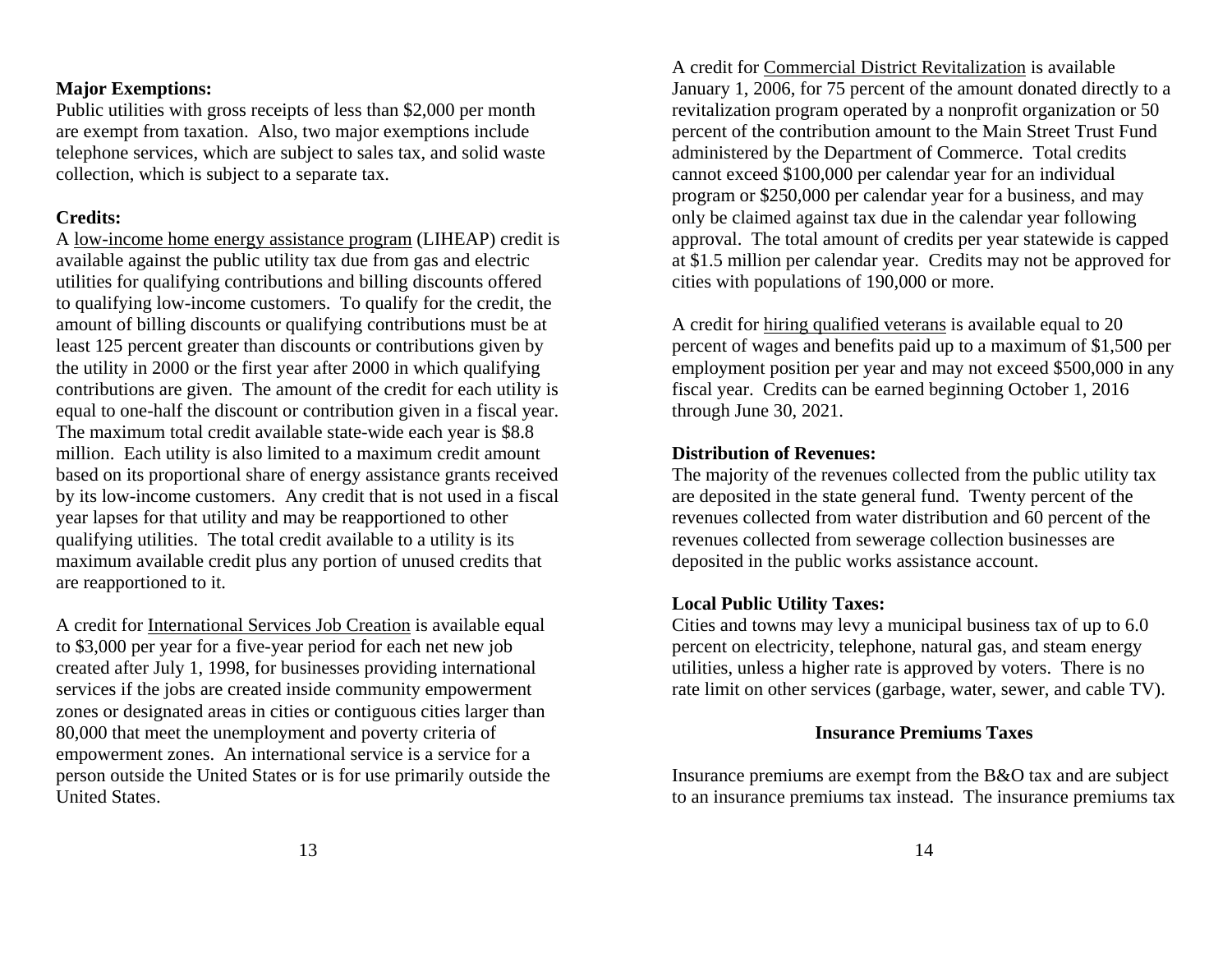#### **Major Exemptions:**

Public utilities with gross receipts of less than \$2,000 per month are exempt from taxation. Also, two major exemptions include telephone services, which are subject to sales tax, and solid waste collection, which is subject to a separate tax.

#### **Credits:**

A low-income home energy assistance program (LIHEAP) credit is available against the public utility tax due from gas and electric utilities for qualifying contributions and billing discounts offered to qualifying low-income customers. To qualify for the credit, the amount of billing discounts or qualifying contributions must be at least 125 percent greater than discounts or contributions given by the utility in 2000 or the first year after 2000 in which qualifying contributions are given. The amount of the credit for each utility is equal to one-half the discount or contribution given in a fiscal year. The maximum total credit available state-wide each year is \$8.8 million. Each utility is also limited to a maximum credit amount based on its proportional share of energy assistance grants received by its low-income customers. Any credit that is not used in a fiscal year lapses for that utility and may be reapportioned to other qualifying utilities. The total credit available to a utility is its maximum available credit plus any portion of unused credits that are reapportioned to it.

A credit for International Services Job Creation is available equal to \$3,000 per year for a five-year period for each net new job created after July 1, 1998, for businesses providing international services if the jobs are created inside community empowerment zones or designated areas in cities or contiguous cities larger than 80,000 that meet the unemployment and poverty criteria of empowerment zones. An international service is a service for a person outside the United States or is for use primarily outside the United States.

A credit for Commercial District Revitalization is available January 1, 2006, for 75 percent of the amount donated directly to a revitalization program operated by a nonprofit organization or 50 percent of the contribution amount to the Main Street Trust Fund administered by the Department of Commerce. Total credits cannot exceed \$100,000 per calendar year for an individual program or \$250,000 per calendar year for a business, and may only be claimed against tax due in the calendar year following approval. The total amount of credits per year statewide is capped at \$1.5 million per calendar year. Credits may not be approved for cities with populations of 190,000 or more.

A credit for hiring qualified veterans is available equal to 20 percent of wages and benefits paid up to a maximum of \$1,500 per employment position per year and may not exceed \$500,000 in any fiscal year. Credits can be earned beginning October 1, 2016 through June 30, 2021.

#### **Distribution of Revenues:**

The majority of the revenues collected from the public utility tax are deposited in the state general fund. Twenty percent of the revenues collected from water distribution and 60 percent of the revenues collected from sewerage collection businesses are deposited in the public works assistance account.

#### **Local Public Utility Taxes:**

Cities and towns may levy a municipal business tax of up to 6.0 percent on electricity, telephone, natural gas, and steam energy utilities, unless a higher rate is approved by voters. There is no rate limit on other services (garbage, water, sewer, and cable TV).

#### **Insurance Premiums Taxes**

Insurance premiums are exempt from the B&O tax and are subject to an insurance premiums tax instead. The insurance premiums tax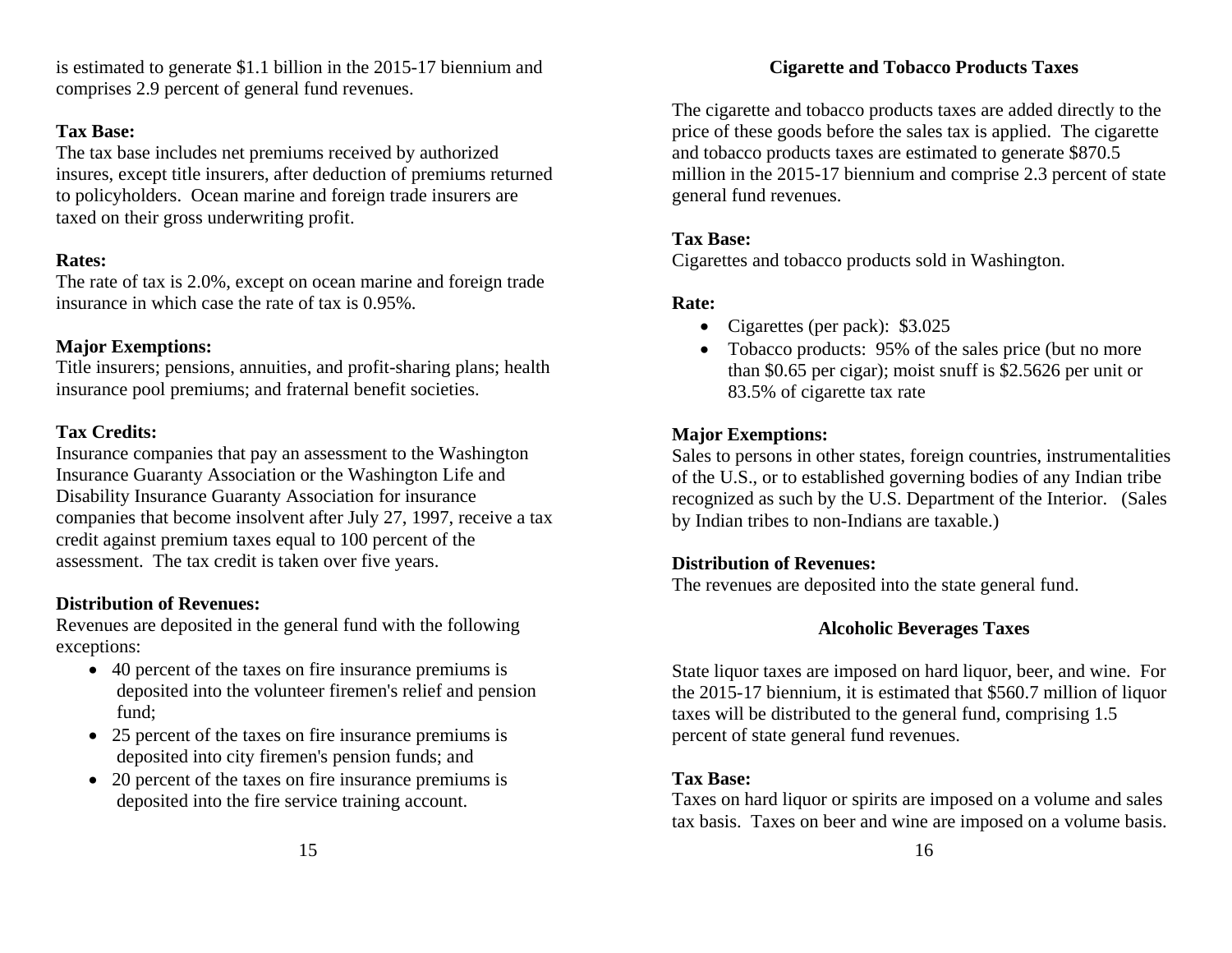is estimated to generate \$1.1 billion in the 2015-17 biennium and comprises 2.9 percent of general fund revenues.

# **Tax Base:**

The tax base includes net premiums received by authorized insures, except title insurers, after deduction of premiums returned to policyholders. Ocean marine and foreign trade insurers are taxed on their gross underwriting profit.

# **Rates:**

The rate of tax is 2.0%, except on ocean marine and foreign trade insurance in which case the rate of tax is 0.95%.

# **Major Exemptions:**

Title insurers; pensions, annuities, and profit-sharing plans; health insurance pool premiums; and fraternal benefit societies.

# **Tax Credits:**

Insurance companies that pay an assessment to the Washington Insurance Guaranty Association or the Washington Life and Disability Insurance Guaranty Association for insurance companies that become insolvent after July 27, 1997, receive a tax credit against premium taxes equal to 100 percent of the assessment. The tax credit is taken over five years.

# **Distribution of Revenues:**

Revenues are deposited in the general fund with the following exceptions:

- 40 percent of the taxes on fire insurance premiums is deposited into the volunteer firemen's relief and pension fund;
- 25 percent of the taxes on fire insurance premiums is deposited into city firemen's pension funds; and
- 20 percent of the taxes on fire insurance premiums is deposited into the fire service training account.

The cigarette and tobacco products taxes are added directly to the price of these goods before the sales tax is applied. The cigarette and tobacco products taxes are estimated to generate \$870.5 million in the 2015-17 biennium and comprise 2.3 percent of state general fund revenues.

# **Tax Base:**

Cigarettes and tobacco products sold in Washington.

# **Rate:**

- Cigarettes (per pack): \$3.025
- Tobacco products: 95% of the sales price (but no more than \$0.65 per cigar); moist snuff is \$2.5626 per unit or 83.5% of cigarette tax rate

# **Major Exemptions:**

Sales to persons in other states, foreign countries, instrumentalities of the U.S., or to established governing bodies of any Indian tribe recognized as such by the U.S. Department of the Interior. (Sales by Indian tribes to non-Indians are taxable.)

# **Distribution of Revenues:**

The revenues are deposited into the state general fund.

# **Alcoholic Beverages Taxes**

State liquor taxes are imposed on hard liquor, beer, and wine. For the 2015-17 biennium, it is estimated that \$560.7 million of liquor taxes will be distributed to the general fund, comprising 1.5 percent of state general fund revenues.

# **Tax Base:**

Taxes on hard liquor or spirits are imposed on a volume and sales tax basis. Taxes on beer and wine are imposed on a volume basis.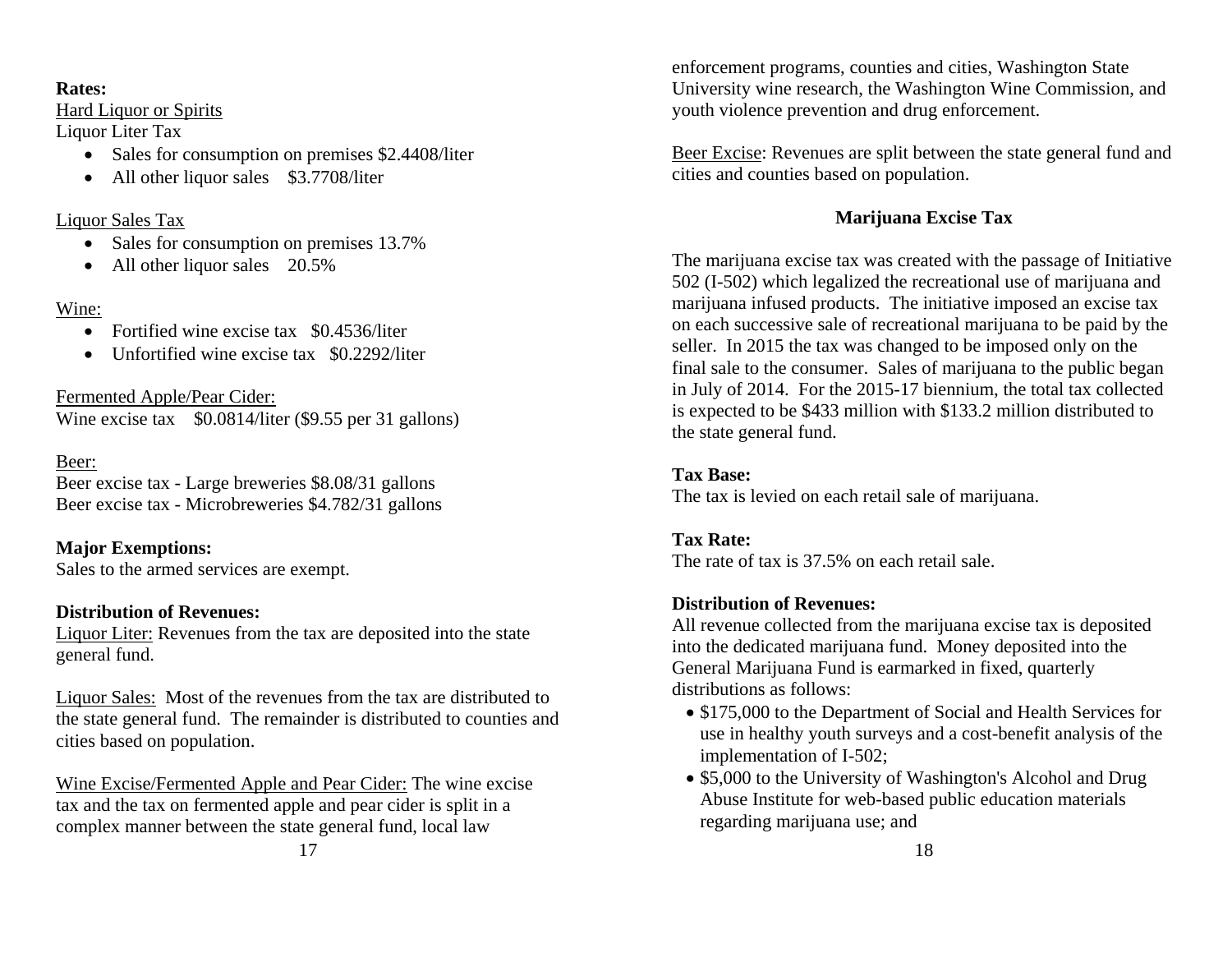# **Rates:**

Hard Liquor or Spirits

Liquor Liter Tax

- Sales for consumption on premises \$2.4408/liter
- All other liquor sales \$3.7708/liter

# Liquor Sales Tax

- Sales for consumption on premises 13.7%
- All other liquor sales 20.5%

# Wine:

- Fortified wine excise tax \$0.4536/liter
- Unfortified wine excise tax \$0.2292/liter

Fermented Apple/Pear Cider: Wine excise tax  $$0.0814/l$  iter (\$9.55 per 31 gallons)

# Beer:

Beer excise tax - Large breweries \$8.08/31 gallons Beer excise tax - Microbreweries \$4.782/31 gallons

**Major Exemptions:** Sales to the armed services are exempt.

# **Distribution of Revenues:**

Liquor Liter: Revenues from the tax are deposited into the state general fund.

Liquor Sales: Most of the revenues from the tax are distributed to the state general fund. The remainder is distributed to counties and cities based on population.

Wine Excise/Fermented Apple and Pear Cider: The wine excise tax and the tax on fermented apple and pear cider is split in a complex manner between the state general fund, local law

enforcement programs, counties and cities, Washington State University wine research, the Washington Wine Commission, and youth violence prevention and drug enforcement.

Beer Excise: Revenues are split between the state general fund and cities and counties based on population.

# **Marijuana Excise Tax**

The marijuana excise tax was created with the passage of Initiative 502 (I-502) which legalized the recreational use of marijuana and marijuana infused products. The initiative imposed an excise tax on each successive sale of recreational marijuana to be paid by the seller. In 2015 the tax was changed to be imposed only on the final sale to the consumer. Sales of marijuana to the public began in July of 2014. For the 2015-17 biennium, the total tax collected is expected to be \$433 million with \$133.2 million distributed to the state general fund.

# **Tax Base:**

The tax is levied on each retail sale of marijuana.

# **Tax Rate:**

The rate of tax is 37.5% on each retail sale.

# **Distribution of Revenues:**

All revenue collected from the marijuana excise tax is deposited into the dedicated marijuana fund. Money deposited into the General Marijuana Fund is earmarked in fixed, quarterly distributions as follows:

- \$175,000 to the Department of Social and Health Services for use in healthy youth surveys and a cost-benefit analysis of the implementation of I-502;
- \$5,000 to the University of Washington's Alcohol and Drug Abuse Institute for web-based public education materials regarding marijuana use; and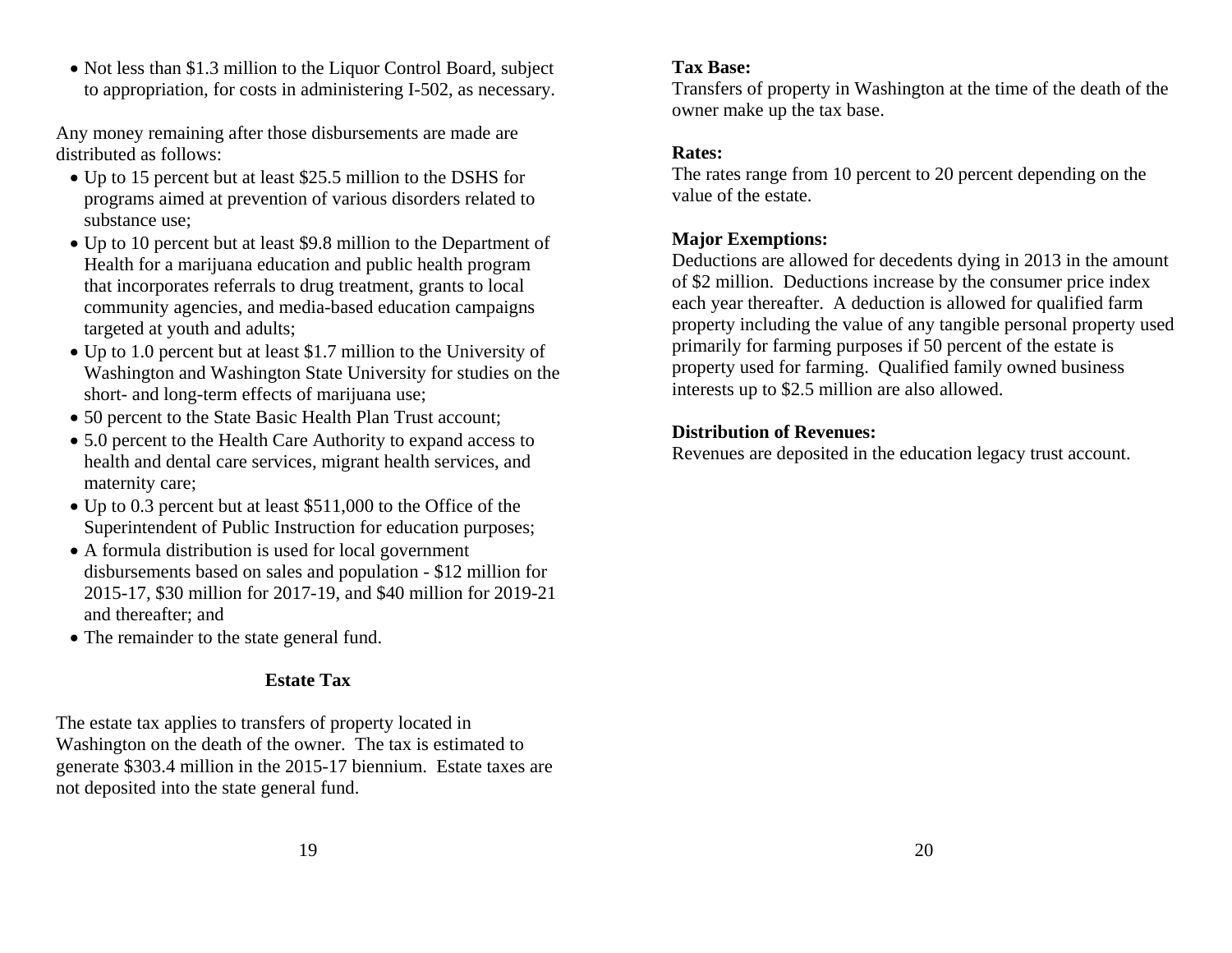• Not less than \$1.3 million to the Liquor Control Board, subject to appropriation, for costs in administering I-502, as necessary.

Any money remaining after those disbursements are made are distributed as follows:

- Up to 15 percent but at least \$25.5 million to the DSHS for programs aimed at prevention of various disorders related to substance use;
- Up to 10 percent but at least \$9.8 million to the Department of Health for a marijuana education and public health program that incorporates referrals to drug treatment, grants to local community agencies, and media-based education campaigns targeted at youth and adults;
- Up to 1.0 percent but at least \$1.7 million to the University of Washington and Washington State University for studies on the short- and long-term effects of marijuana use;
- 50 percent to the State Basic Health Plan Trust account;
- 5.0 percent to the Health Care Authority to expand access to health and dental care services, migrant health services, and maternity care;
- Up to 0.3 percent but at least \$511,000 to the Office of the Superintendent of Public Instruction for education purposes;
- A formula distribution is used for local government disbursements based on sales and population - \$12 million for 2015-17, \$30 million for 2017-19, and \$40 million for 2019-21 and thereafter; and
- The remainder to the state general fund.

# **Estate Tax**

The estate tax applies to transfers of property located in Washington on the death of the owner. The tax is estimated to generate \$303.4 million in the 2015-17 biennium. Estate taxes are not deposited into the state general fund.

#### **Tax Base:**

Transfers of property in Washington at the time of the death of the owner make up the tax base.

# **Rates:**

The rates range from 10 percent to 20 percent depending on the value of the estate.

# **Major Exemptions:**

Deductions are allowed for decedents dying in 2013 in the amount of \$2 million. Deductions increase by the consumer price index each year thereafter. A deduction is allowed for qualified farm property including the value of any tangible personal property used primarily for farming purposes if 50 percent of the estate is property used for farming. Qualified family owned business interests up to \$2.5 million are also allowed.

# **Distribution of Revenues:**

Revenues are deposited in the education legacy trust account.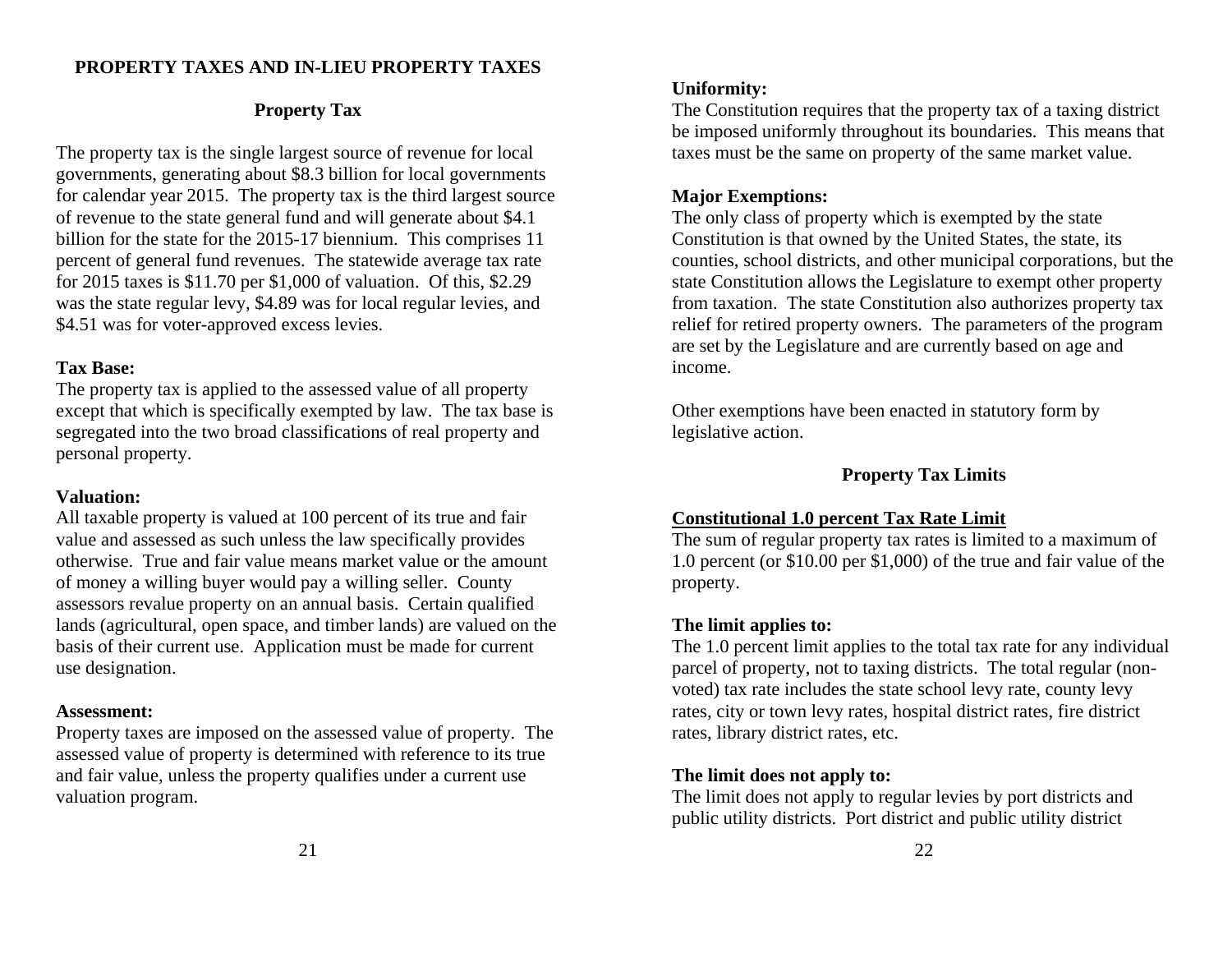#### **PROPERTY TAXES AND IN-LIEU PROPERTY TAXES**

# **Property Tax**

The property tax is the single largest source of revenue for local governments, generating about \$8.3 billion for local governments for calendar year 2015. The property tax is the third largest source of revenue to the state general fund and will generate about \$4.1 billion for the state for the 2015-17 biennium. This comprises 11 percent of general fund revenues. The statewide average tax rate for 2015 taxes is \$11.70 per \$1,000 of valuation. Of this, \$2.29 was the state regular levy, \$4.89 was for local regular levies, and \$4.51 was for voter-approved excess levies.

#### **Tax Base:**

The property tax is applied to the assessed value of all property except that which is specifically exempted by law. The tax base is segregated into the two broad classifications of real property and personal property.

#### **Valuation:**

All taxable property is valued at 100 percent of its true and fair value and assessed as such unless the law specifically provides otherwise. True and fair value means market value or the amount of money a willing buyer would pay a willing seller. County assessors revalue property on an annual basis. Certain qualified lands (agricultural, open space, and timber lands) are valued on the basis of their current use. Application must be made for current use designation.

# **Assessment:**

Property taxes are imposed on the assessed value of property. The assessed value of property is determined with reference to its true and fair value, unless the property qualifies under a current use valuation program.

The Constitution requires that the property tax of a taxing district be imposed uniformly throughout its boundaries. This means that taxes must be the same on property of the same market value.

# **Major Exemptions:**

The only class of property which is exempted by the state Constitution is that owned by the United States, the state, its counties, school districts, and other municipal corporations, but the state Constitution allows the Legislature to exempt other property from taxation. The state Constitution also authorizes property tax relief for retired property owners. The parameters of the program are set by the Legislature and are currently based on age and income.

Other exemptions have been enacted in statutory form by legislative action.

# **Property Tax Limits**

# **Constitutional 1.0 percent Tax Rate Limit**

The sum of regular property tax rates is limited to a maximum of 1.0 percent (or \$10.00 per \$1,000) of the true and fair value of the property.

# **The limit applies to:**

The 1.0 percent limit applies to the total tax rate for any individual parcel of property, not to taxing districts. The total regular (nonvoted) tax rate includes the state school levy rate, county levy rates, city or town levy rates, hospital district rates, fire district rates, library district rates, etc.

# **The limit does not apply to:**

The limit does not apply to regular levies by port districts and public utility districts. Port district and public utility district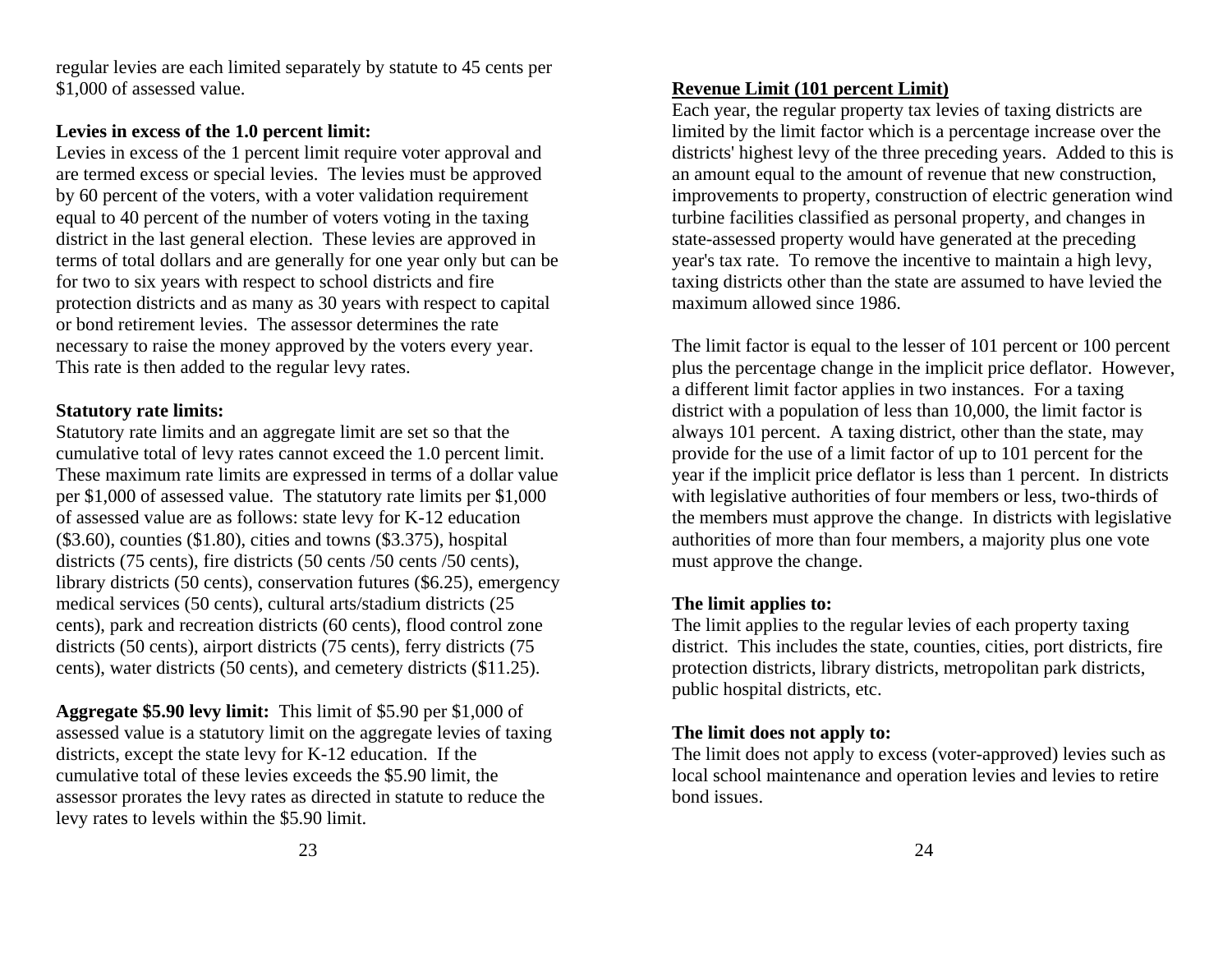regular levies are each limited separately by statute to 45 cents per \$1,000 of assessed value.

# **Levies in excess of the 1.0 percent limit:**

Levies in excess of the 1 percent limit require voter approval and are termed excess or special levies. The levies must be approved by 60 percent of the voters, with a voter validation requirement equal to 40 percent of the number of voters voting in the taxing district in the last general election. These levies are approved in terms of total dollars and are generally for one year only but can be for two to six years with respect to school districts and fire protection districts and as many as 30 years with respect to capital or bond retirement levies. The assessor determines the rate necessary to raise the money approved by the voters every year. This rate is then added to the regular levy rates.

# **Statutory rate limits:**

Statutory rate limits and an aggregate limit are set so that the cumulative total of levy rates cannot exceed the 1.0 percent limit. These maximum rate limits are expressed in terms of a dollar value per \$1,000 of assessed value. The statutory rate limits per \$1,000 of assessed value are as follows: state levy for K-12 education (\$3.60), counties (\$1.80), cities and towns (\$3.375), hospital districts (75 cents), fire districts (50 cents /50 cents /50 cents). library districts (50 cents), conservation futures (\$6.25), emergency medical services (50 cents), cultural arts/stadium districts (25 cents), park and recreation districts (60 cents), flood control zone districts (50 cents), airport districts (75 cents), ferry districts (75 cents), water districts (50 cents), and cemetery districts (\$11.25).

**Aggregate \$5.90 levy limit:** This limit of \$5.90 per \$1,000 of assessed value is a statutory limit on the aggregate levies of taxing districts, except the state levy for K-12 education. If the cumulative total of these levies exceeds the \$5.90 limit, the assessor prorates the levy rates as directed in statute to reduce the levy rates to levels within the \$5.90 limit.

# **Revenue Limit (101 percent Limit)**

Each year, the regular property tax levies of taxing districts are limited by the limit factor which is a percentage increase over the districts' highest levy of the three preceding years. Added to this is an amount equal to the amount of revenue that new construction, improvements to property, construction of electric generation wind turbine facilities classified as personal property, and changes in state-assessed property would have generated at the preceding year's tax rate. To remove the incentive to maintain a high levy, taxing districts other than the state are assumed to have levied the maximum allowed since 1986.

The limit factor is equal to the lesser of 101 percent or 100 percent plus the percentage change in the implicit price deflator. However, a different limit factor applies in two instances. For a taxing district with a population of less than 10,000, the limit factor is always 101 percent. A taxing district, other than the state, may provide for the use of a limit factor of up to 101 percent for the year if the implicit price deflator is less than 1 percent. In districts with legislative authorities of four members or less, two-thirds of the members must approve the change. In districts with legislative authorities of more than four members, a majority plus one vote must approve the change.

# **The limit applies to:**

The limit applies to the regular levies of each property taxing district. This includes the state, counties, cities, port districts, fire protection districts, library districts, metropolitan park districts, public hospital districts, etc.

# **The limit does not apply to:**

The limit does not apply to excess (voter-approved) levies such as local school maintenance and operation levies and levies to retire bond issues.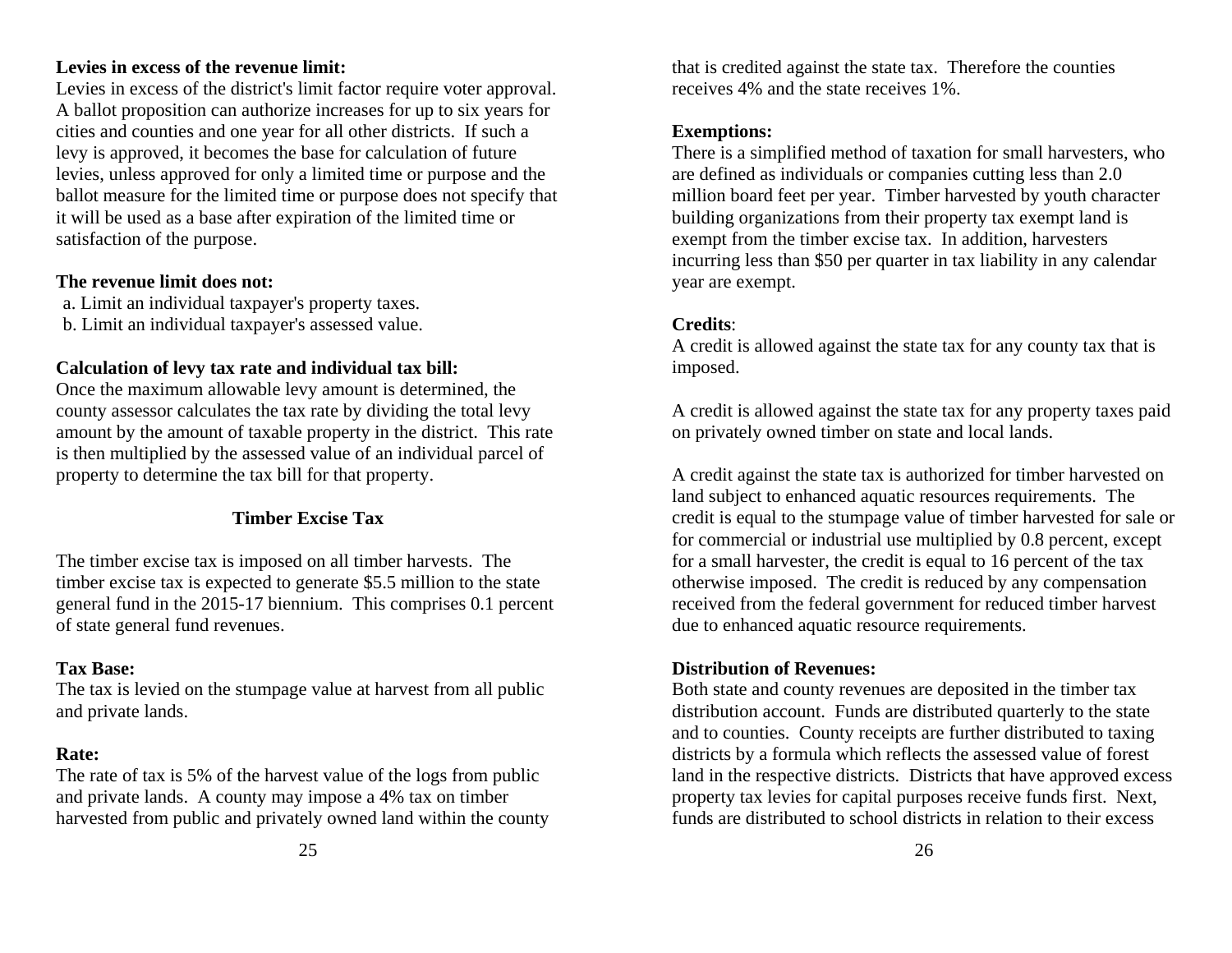# **Levies in excess of the revenue limit:**

Levies in excess of the district's limit factor require voter approval. A ballot proposition can authorize increases for up to six years for cities and counties and one year for all other districts. If such a levy is approved, it becomes the base for calculation of future levies, unless approved for only a limited time or purpose and the ballot measure for the limited time or purpose does not specify that it will be used as a base after expiration of the limited time or satisfaction of the purpose.

# **The revenue limit does not:**

a. Limit an individual taxpayer's property taxes. b. Limit an individual taxpayer's assessed value.

# **Calculation of levy tax rate and individual tax bill:**

Once the maximum allowable levy amount is determined, the county assessor calculates the tax rate by dividing the total levy amount by the amount of taxable property in the district. This rate is then multiplied by the assessed value of an individual parcel of property to determine the tax bill for that property.

# **Timber Excise Tax**

The timber excise tax is imposed on all timber harvests. The timber excise tax is expected to generate \$5.5 million to the state general fund in the 2015-17 biennium. This comprises 0.1 percent of state general fund revenues.

# **Tax Base:**

The tax is levied on the stumpage value at harvest from all public and private lands.

# **Rate:**

The rate of tax is 5% of the harvest value of the logs from public and private lands. A county may impose a 4% tax on timber harvested from public and privately owned land within the county

that is credited against the state tax. Therefore the counties receives 4% and the state receives 1%.

# **Exemptions:**

There is a simplified method of taxation for small harvesters, who are defined as individuals or companies cutting less than 2.0 million board feet per year. Timber harvested by youth character building organizations from their property tax exempt land is exempt from the timber excise tax. In addition, harvesters incurring less than \$50 per quarter in tax liability in any calendar year are exempt.

# **Credits**:

A credit is allowed against the state tax for any county tax that is imposed.

A credit is allowed against the state tax for any property taxes paid on privately owned timber on state and local lands.

A credit against the state tax is authorized for timber harvested on land subject to enhanced aquatic resources requirements. The credit is equal to the stumpage value of timber harvested for sale or for commercial or industrial use multiplied by 0.8 percent, except for a small harvester, the credit is equal to 16 percent of the tax otherwise imposed. The credit is reduced by any compensation received from the federal government for reduced timber harvest due to enhanced aquatic resource requirements.

# **Distribution of Revenues:**

Both state and county revenues are deposited in the timber tax distribution account. Funds are distributed quarterly to the state and to counties. County receipts are further distributed to taxing districts by a formula which reflects the assessed value of forest land in the respective districts. Districts that have approved excess property tax levies for capital purposes receive funds first. Next, funds are distributed to school districts in relation to their excess